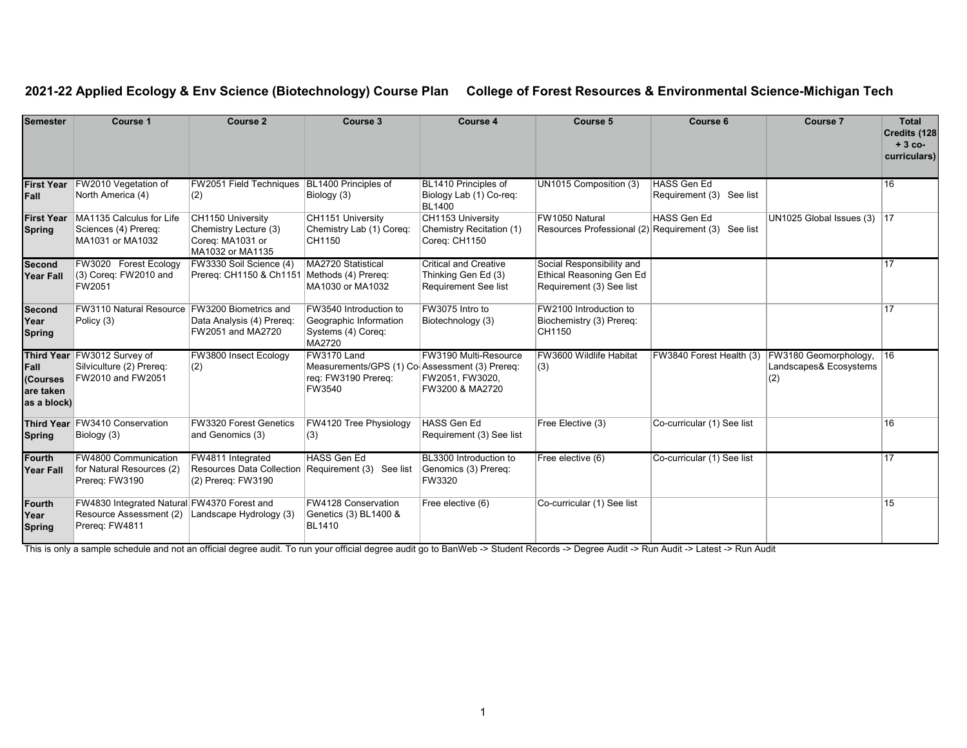## **2021-22 Applied Ecology & Env Science (Biotechnology) Course Plan College of Forest Resources & Environmental Science-Michigan Tech**

| Semester                                     | Course 1                                                                                 | Course 2                                                                                        | Course 3                                                                                       | Course 4                                                                    | Course 5                                                                          | Course 6                                       | Course 7                                                  | <b>Total</b><br>Credits (128<br>$+3$ co-<br>curriculars) |
|----------------------------------------------|------------------------------------------------------------------------------------------|-------------------------------------------------------------------------------------------------|------------------------------------------------------------------------------------------------|-----------------------------------------------------------------------------|-----------------------------------------------------------------------------------|------------------------------------------------|-----------------------------------------------------------|----------------------------------------------------------|
| <b>First Year</b><br>Fall                    | FW2010 Vegetation of<br>North America (4)                                                | FW2051 Field Techniques BL1400 Principles of<br>(2)                                             | Biology (3)                                                                                    | BL1410 Principles of<br>Biology Lab (1) Co-reg:<br><b>BL1400</b>            | UN1015 Composition (3)                                                            | <b>HASS Gen Ed</b><br>Requirement (3) See list |                                                           | 16                                                       |
| <b>First Year</b><br><b>Spring</b>           | MA1135 Calculus for Life<br>Sciences (4) Prereq:<br>MA1031 or MA1032                     | CH1150 University<br>Chemistry Lecture (3)<br>Coreg: MA1031 or<br>MA1032 or MA1135              | CH1151 University<br>Chemistry Lab (1) Coreq:<br>CH1150                                        | CH1153 University<br>Chemistry Recitation (1)<br>Coreg: CH1150              | FW1050 Natural<br>Resources Professional (2) Requirement (3) See list             | HASS Gen Ed                                    | UN1025 Global Issues $(3)$  17                            |                                                          |
| <b>Second</b><br>Year Fall                   | FW3020 Forest Ecology<br>(3) Coreq: FW2010 and<br>FW2051                                 | FW3330 Soil Science (4)<br>Prereq: CH1150 & Ch1151 Methods (4) Prereq:                          | MA2720 Statistical<br>MA1030 or MA1032                                                         | <b>Critical and Creative</b><br>Thinking Gen Ed (3)<br>Requirement See list | Social Responsibility and<br>Ethical Reasoning Gen Ed<br>Requirement (3) See list |                                                |                                                           | 17                                                       |
| <b>Second</b><br>Year<br><b>Spring</b>       | <b>FW3110 Natural Resource</b><br>Policy (3)                                             | FW3200 Biometrics and<br>Data Analysis (4) Prereq:<br>FW2051 and MA2720                         | FW3540 Introduction to<br>Geographic Information<br>Systems (4) Coreq:<br>MA2720               | FW3075 Intro to<br>Biotechnology (3)                                        | FW2100 Introduction to<br>Biochemistry (3) Prereq:<br>CH1150                      |                                                |                                                           | 17                                                       |
| Fall<br>(Courses<br>are taken<br>as a block) | Third Year FW3012 Survey of<br>Silviculture (2) Prereq:<br>FW2010 and FW2051             | FW3800 Insect Ecology<br>(2)                                                                    | FW3170 Land<br>Measurements/GPS (1) Co-Assessment (3) Prereq:<br>req: FW3190 Prereq:<br>FW3540 | FW3190 Multi-Resource<br>FW2051, FW3020,<br>FW3200 & MA2720                 | FW3600 Wildlife Habitat<br>(3)                                                    | FW3840 Forest Health (3)                       | FW3180 Geomorphology, 16<br>Landscapes& Ecosystems<br>(2) |                                                          |
| <b>Spring</b>                                | Third Year FW3410 Conservation<br>Biology (3)                                            | <b>FW3320 Forest Genetics</b><br>and Genomics (3)                                               | FW4120 Tree Physiology<br>(3)                                                                  | <b>HASS Gen Ed</b><br>Requirement (3) See list                              | Free Elective (3)                                                                 | Co-curricular (1) See list                     |                                                           | 16                                                       |
| Fourth<br><b>Year Fall</b>                   | FW4800 Communication<br>for Natural Resources (2)<br>Prereg: FW3190                      | FW4811 Integrated<br>Resources Data Collection   Requirement (3) See list<br>(2) Prereq: FW3190 | HASS Gen Ed                                                                                    | BL3300 Introduction to<br>Genomics (3) Prereq:<br>FW3320                    | Free elective (6)                                                                 | Co-curricular (1) See list                     |                                                           | 17                                                       |
| <b>Fourth</b><br>Year<br><b>Spring</b>       | FW4830 Integrated Natural FW4370 Forest and<br>Resource Assessment (2)<br>Prereq: FW4811 | Landscape Hydrology (3)                                                                         | FW4128 Conservation<br>Genetics (3) BL1400 &<br><b>BL1410</b>                                  | Free elective (6)                                                           | Co-curricular (1) See list                                                        |                                                |                                                           | 15                                                       |

This is only a sample schedule and not an official degree audit. To run your official degree audit go to BanWeb -> Student Records -> Degree Audit -> Run Audit -> Latest -> Run Audit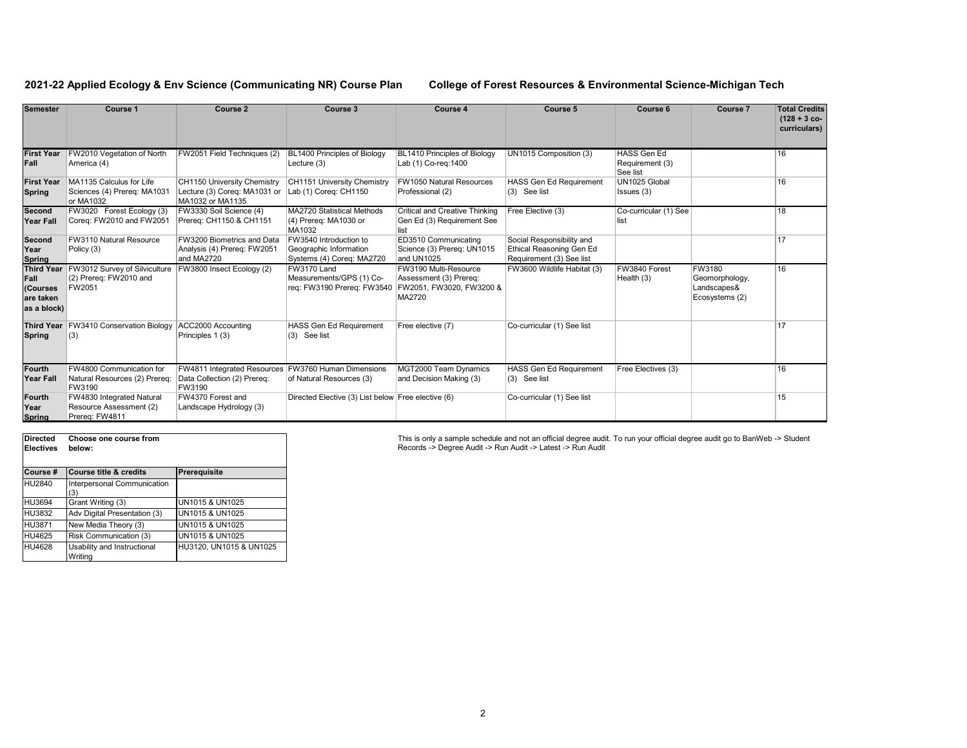## **2021-22 Applied Ecology & Env Science (Communicating NR) Course Plan College of Forest Resources & Environmental Science-Michigan Tech**

| <b>Semester</b>                                                   | Course 1                                                               | <b>Course 2</b>                                                                 | Course 3                                                                      | Course 4                                                                              | Course 5                                                                          | Course 6                                   | <b>Course 7</b>                                           | <b>Total Credits</b><br>$(128 + 3$ co-<br>curriculars) |
|-------------------------------------------------------------------|------------------------------------------------------------------------|---------------------------------------------------------------------------------|-------------------------------------------------------------------------------|---------------------------------------------------------------------------------------|-----------------------------------------------------------------------------------|--------------------------------------------|-----------------------------------------------------------|--------------------------------------------------------|
| <b>First Year</b><br>Fall                                         | FW2010 Vegetation of North<br>America (4)                              | FW2051 Field Techniques (2)                                                     | BL1400 Principles of Biology<br>Lecture (3)                                   | BL1410 Principles of Biology<br>Lab (1) Co-reg: 1400                                  | UN1015 Composition (3)                                                            | HASS Gen Ed<br>Requirement (3)<br>See list |                                                           | 16                                                     |
| <b>First Year</b><br><b>Spring</b>                                | MA1135 Calculus for Life<br>Sciences (4) Prereg: MA1031<br>or MA1032   | CH1150 University Chemistry<br>Lecture (3) Coreq: MA1031 or<br>MA1032 or MA1135 | CH1151 University Chemistry<br>Lab (1) Coreg: CH1150                          | <b>FW1050 Natural Resources</b><br>Professional (2)                                   | <b>HASS Gen Ed Requirement</b><br>$(3)$ See list                                  | UN1025 Global<br>Issues (3)                |                                                           | 16                                                     |
| Second<br><b>Year Fall</b>                                        | FW3020 Forest Ecology (3)<br>Coreq: FW2010 and FW2051                  | FW3330 Soil Science (4)<br>Prereg: CH1150 & CH1151                              | <b>MA2720 Statistical Methods</b><br>(4) Prereq: MA1030 or<br>MA1032          | <b>Critical and Creative Thinking</b><br>Gen Ed (3) Requirement See<br>list           | Free Elective (3)                                                                 | Co-curricular (1) See<br>list              |                                                           | 18                                                     |
| Second<br>Year<br>Spring                                          | FW3110 Natural Resource<br>Policy (3)                                  | FW3200 Biometrics and Data<br>Analysis (4) Prereq: FW2051<br>and MA2720         | FW3540 Introduction to<br>Geographic Information<br>Systems (4) Coreq: MA2720 | ED3510 Communicating<br>Science (3) Prereg: UN1015<br>and UN1025                      | Social Responsibility and<br>Ethical Reasoning Gen Ed<br>Requirement (3) See list |                                            |                                                           | 17                                                     |
| <b>Third Year</b><br>Fall<br>(Courses<br>are taken<br>as a block) | FW3012 Survey of Silviculture<br>(2) Prereq: FW2010 and<br>FW2051      | FW3800 Insect Ecology (2)                                                       | FW3170 Land<br>Measurements/GPS (1) Co-<br>reg: FW3190 Prereg: FW3540         | FW3190 Multi-Resource<br>Assessment (3) Prereq:<br>FW2051, FW3020, FW3200 &<br>MA2720 | FW3600 Wildlife Habitat (3)                                                       | FW3840 Forest<br>Health (3)                | FW3180<br>Geomorphology,<br>Landscapes&<br>Ecosystems (2) | 16                                                     |
| <b>Third Year</b><br>Spring                                       | <b>FW3410 Conservation Biology</b><br>(3)                              | ACC2000 Accounting<br>Principles 1 (3)                                          | <b>HASS Gen Ed Requirement</b><br>(3) See list                                | Free elective (7)                                                                     | Co-curricular (1) See list                                                        |                                            |                                                           | 17                                                     |
| <b>Fourth</b><br><b>Year Fall</b>                                 | FW4800 Communication for<br>Natural Resources (2) Prereq:<br>FW3190    | FW4811 Integrated Resources<br>Data Collection (2) Prereq:<br>FW3190            | <b>FW3760 Human Dimensions</b><br>of Natural Resources (3)                    | MGT2000 Team Dynamics<br>and Decision Making (3)                                      | <b>HASS Gen Ed Requirement</b><br>(3) See list                                    | Free Electives (3)                         |                                                           | 16                                                     |
| <b>Fourth</b><br>Year<br><b>Spring</b>                            | FW4830 Integrated Natural<br>Resource Assessment (2)<br>Prereg: FW4811 | FW4370 Forest and<br>Landscape Hydrology (3)                                    | Directed Elective (3) List below Free elective (6)                            |                                                                                       | Co-curricular (1) See list                                                        |                                            |                                                           | 15                                                     |

| <b>Directed</b><br><b>Electives</b> | Choose one course from<br>below:       |                            |  |  |  |
|-------------------------------------|----------------------------------------|----------------------------|--|--|--|
| Course #                            | <b>Course title &amp; credits</b>      | Prerequisite               |  |  |  |
| HU2840                              | Interpersonal Communication<br>(3)     |                            |  |  |  |
| HU3694                              | Grant Writing (3)                      | UN1015 & UN1025            |  |  |  |
| HU3832                              | Adv Digital Presentation (3)           | <b>UN1015 &amp; UN1025</b> |  |  |  |
| HU3871                              | New Media Theory (3)                   | <b>UN1015 &amp; UN1025</b> |  |  |  |
| HU4625                              | Risk Communication (3)                 | UN1015 & UN1025            |  |  |  |
| HU4628                              | Usability and Instructional<br>Writina | HU3120, UN1015 & UN1025    |  |  |  |

This is only a sample schedule and not an official degree audit. To run your official degree audit go to BanWeb -> Student<br>Records -> Degree Audit -> Run Audit -> Latest -> Run Audit